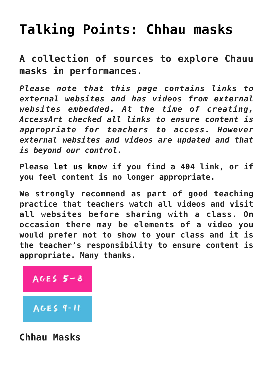## **[Talking Points: Chhau masks](https://www.accessart.org.uk/talking-points-chhau-masks/)**

**A collection of sources to explore Chauu masks in performances.**

*Please note that this page contains links to external websites and has videos from external websites embedded. At the time of creating, AccessArt checked all links to ensure content is appropriate for teachers to access. However external websites and videos are updated and that is beyond our control.* 

**Please [let us know](mailto:info@accessart.org.uk) if you find a 404 link, or if you feel content is no longer appropriate.** 

**We strongly recommend as part of good teaching practice that teachers watch all videos and visit all websites before sharing with a class. On occasion there may be elements of a video you would prefer not to show to your class and it is the teacher's responsibility to ensure content is appropriate. Many thanks.** 

## AGES  $5 - 8$

**AGES 9-11** 

**Chhau Masks**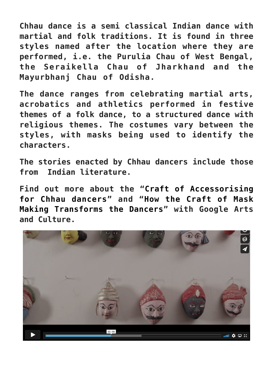**Chhau dance is a semi classical Indian dance with martial and folk traditions. It is found in three styles named after the location where they are performed, i.e. the Purulia Chau of West Bengal, the Seraikella Chau of Jharkhand and the Mayurbhanj Chau of Odisha.**

**The dance ranges from celebrating martial arts, acrobatics and athletics performed in festive themes of a folk dance, to a structured dance with religious themes. The costumes vary between the styles, with masks being used to identify the characters.**

**The stories enacted by Chhau dancers include those from Indian literature.**

**Find out more about the "[Craft of Accessorising](https://artsandculture.google.com/story/UgVhCfjKLHSWLQ) [for Chhau dancers"](https://artsandculture.google.com/story/UgVhCfjKLHSWLQ) and "[How the Craft of Mask](https://artsandculture.google.com/story/MAUhwJA_Ix8oLg) [Making Transforms the Dancers](https://artsandculture.google.com/story/MAUhwJA_Ix8oLg)" with Google Arts and Culture.**